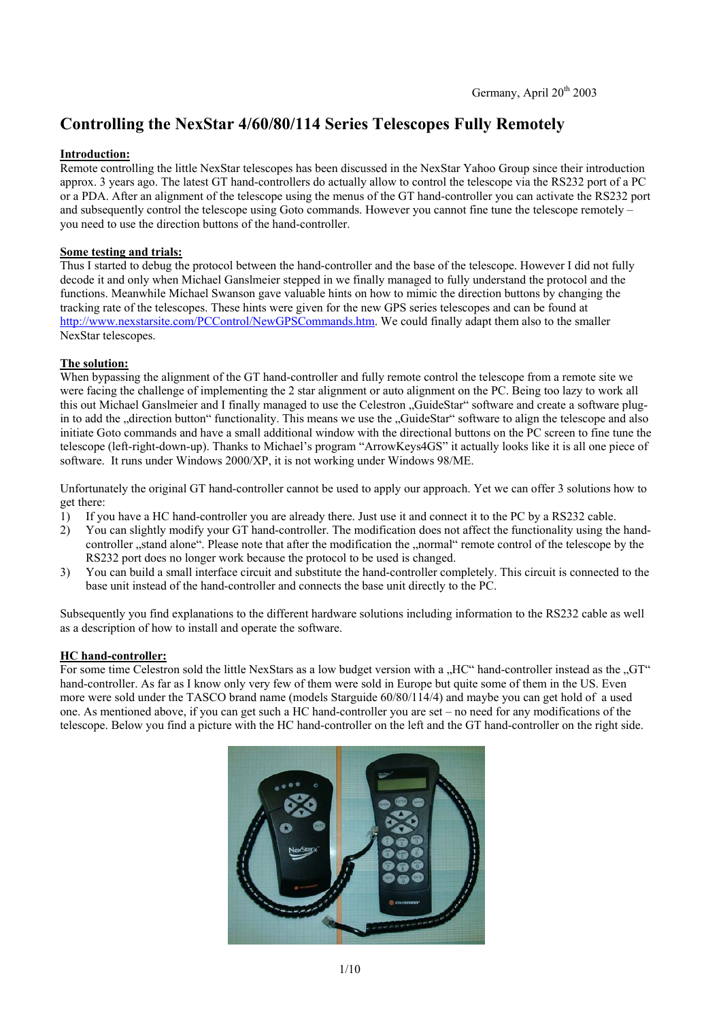# **Controlling the NexStar 4/60/80/114 Series Telescopes Fully Remotely**

#### **Introduction:**

Remote controlling the little NexStar telescopes has been discussed in the NexStar Yahoo Group since their introduction approx. 3 years ago. The latest GT hand-controllers do actually allow to control the telescope via the RS232 port of a PC or a PDA. After an alignment of the telescope using the menus of the GT hand-controller you can activate the RS232 port and subsequently control the telescope using Goto commands. However you cannot fine tune the telescope remotely – you need to use the direction buttons of the hand-controller.

## **Some testing and trials:**

Thus I started to debug the protocol between the hand-controller and the base of the telescope. However I did not fully decode it and only when Michael Ganslmeier stepped in we finally managed to fully understand the protocol and the functions. Meanwhile Michael Swanson gave valuable hints on how to mimic the direction buttons by changing the tracking rate of the telescopes. These hints were given for the new GPS series telescopes and can be found at http://www.nexstarsite.com/PCControl/NewGPSCommands.htm. We could finally adapt them also to the smaller NexStar telescopes.

### **The solution:**

When bypassing the alignment of the GT hand-controller and fully remote control the telescope from a remote site we were facing the challenge of implementing the 2 star alignment or auto alignment on the PC. Being too lazy to work all this out Michael Ganslmeier and I finally managed to use the Celestron "GuideStar" software and create a software plugin to add the "direction button" functionality. This means we use the "GuideStar" software to align the telescope and also initiate Goto commands and have a small additional window with the directional buttons on the PC screen to fine tune the telescope (left-right-down-up). Thanks to Michael's program "ArrowKeys4GS" it actually looks like it is all one piece of software. It runs under Windows 2000/XP, it is not working under Windows 98/ME.

Unfortunately the original GT hand-controller cannot be used to apply our approach. Yet we can offer 3 solutions how to get there:

- 1) If you have a HC hand-controller you are already there. Just use it and connect it to the PC by a RS232 cable.
- 2) You can slightly modify your GT hand-controller. The modification does not affect the functionality using the hand controller "stand alone". Please note that after the modification the "normal" remote control of the telescope by the RS232 port does no longer work because the protocol to be used is changed.
- 3) You can build a small interface circuit and substitute the hand-controller completely. This circuit is connected to the base unit instead of the hand-controller and connects the base unit directly to the PC.

Subsequently you find explanations to the different hardware solutions including information to the RS232 cable as well as a description of how to install and operate the software.

#### **HC hand-controller:**

For some time Celestron sold the little NexStars as a low budget version with a "HC" hand-controller instead as the " $GT''$ hand-controller. As far as I know only very few of them were sold in Europe but quite some of them in the US. Even more were sold under the TASCO brand name (models Starguide 60/80/114/4) and maybe you can get hold of a used one. As mentioned above, if you can get such a HC hand-controller you are set – no need for any modifications of the telescope. Below you find a picture with the HC hand-controller on the left and the GT hand-controller on the right side.

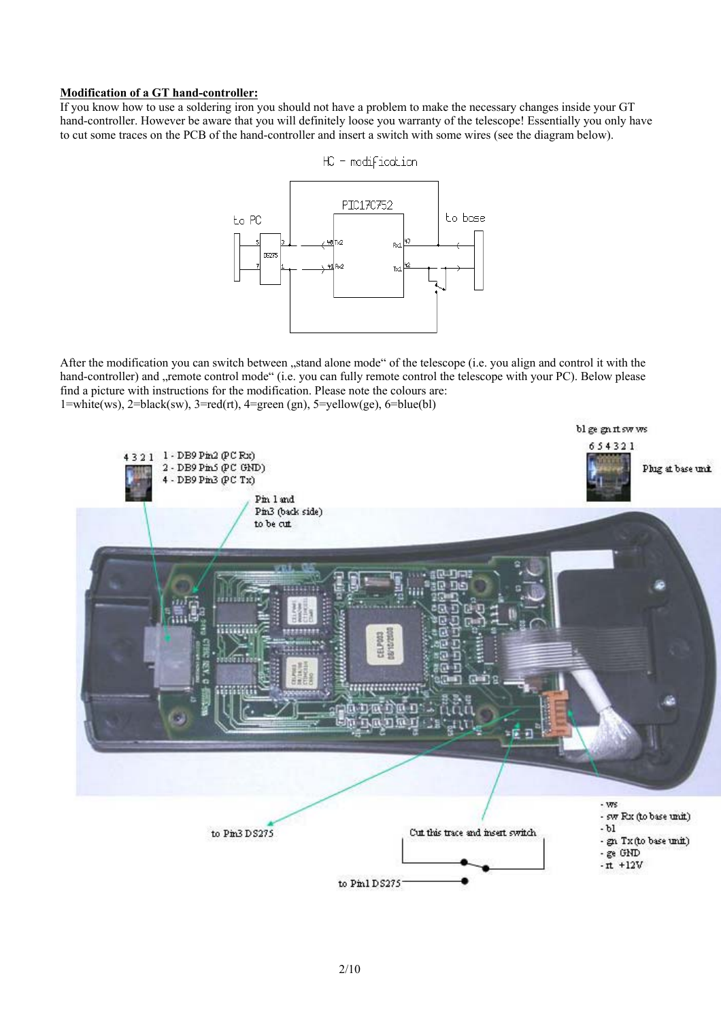#### **Modification of a GT hand-controller:**

If you know how to use a soldering iron you should not have a problem to make the necessary changes inside your GT hand-controller. However be aware that you will definitely loose you warranty of the telescope! Essentially you only have to cut some traces on the PCB of the hand-controller and insert a switch with some wires (see the diagram below).



After the modification you can switch between "stand alone mode" of the telescope (i.e. you align and control it with the hand-controller) and "remote control mode" (i.e. you can fully remote control the telescope with your PC). Below please find a picture with instructions for the modification. Please note the colours are:  $1=white(ws), 2=black(sw), 3=red(rt), 4=green(gn), 5=yellow(ge), 6=blue(bl)$ 

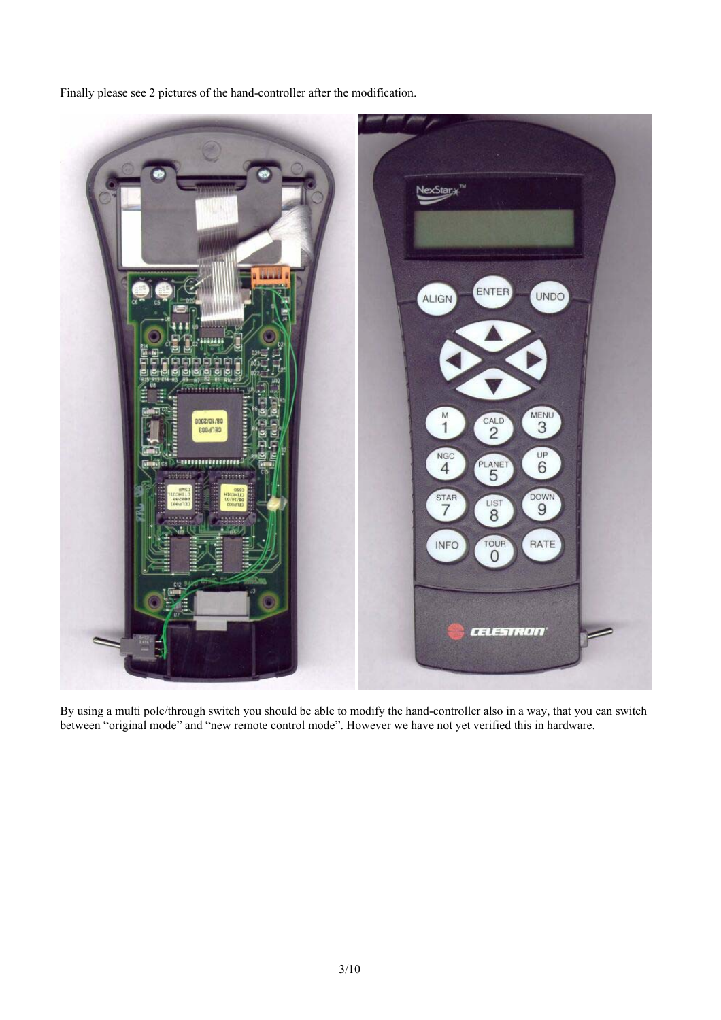Finally please see 2 pictures of the hand-controller after the modification.



By using a multi pole/through switch you should be able to modify the hand-controller also in a way, that you can switch between "original mode" and "new remote control mode". However we have not yet verified this in hardware.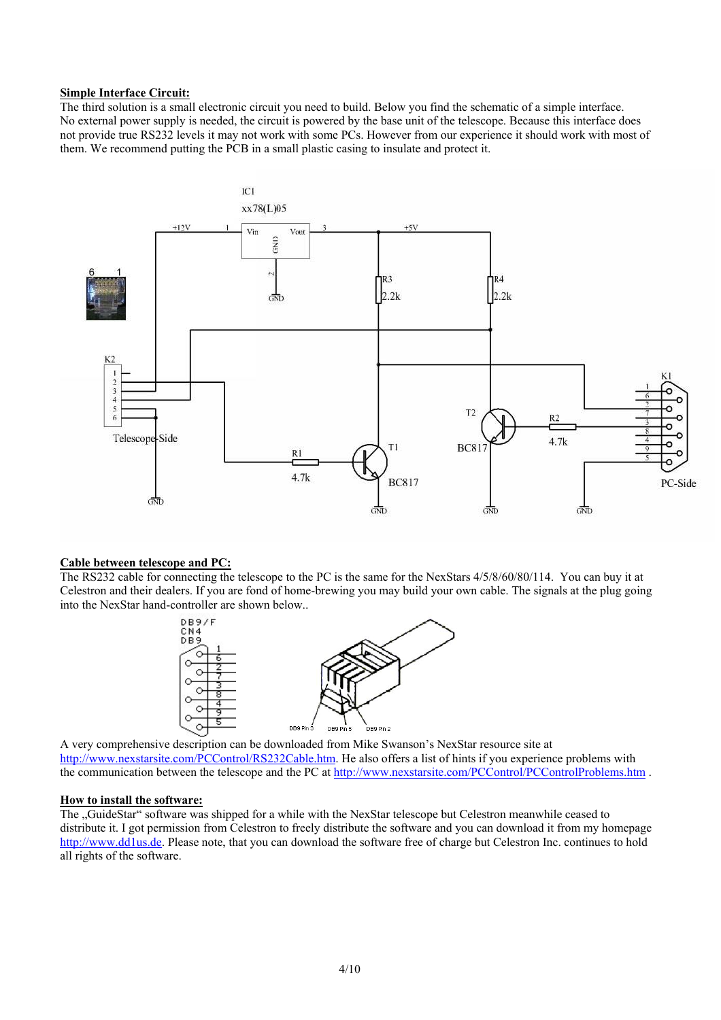#### **Simple Interface Circuit:**

The third solution is a small electronic circuit you need to build. Below you find the schematic of a simple interface. No external power supply is needed, the circuit is powered by the base unit of the telescope. Because this interface does not provide true RS232 levels it may not work with some PCs. However from our experience it should work with most of them. We recommend putting the PCB in a small plastic casing to insulate and protect it.



#### **Cable between telescope and PC:**

The RS232 cable for connecting the telescope to the PC is the same for the NexStars 4/5/8/60/80/114. You can buy it at Celestron and their dealers. If you are fond of home-brewing you may build your own cable. The signals at the plug going into the NexStar hand-controller are shown below..



A very comprehensive description can be downloaded from Mike Swanson's NexStar resource site at A http://www.nexstarsite.com/PCControl/RS232Cable.htm. He also offers a list of hints if you experience problems with the communication between the telescope and the PC at http://www.nexstarsite.com/PCControl/PCControlProblems.htm .

#### **How to install the software:**

The "GuideStar" software was shipped for a while with the NexStar telescope but Celestron meanwhile ceased to distribute it. I got permission from Celestron to freely distribute the software and you can download it from my homepage http://www.dd1us.de. Please note, that you can download the software free of charge but Celestron Inc. continues to hold all rights of the software.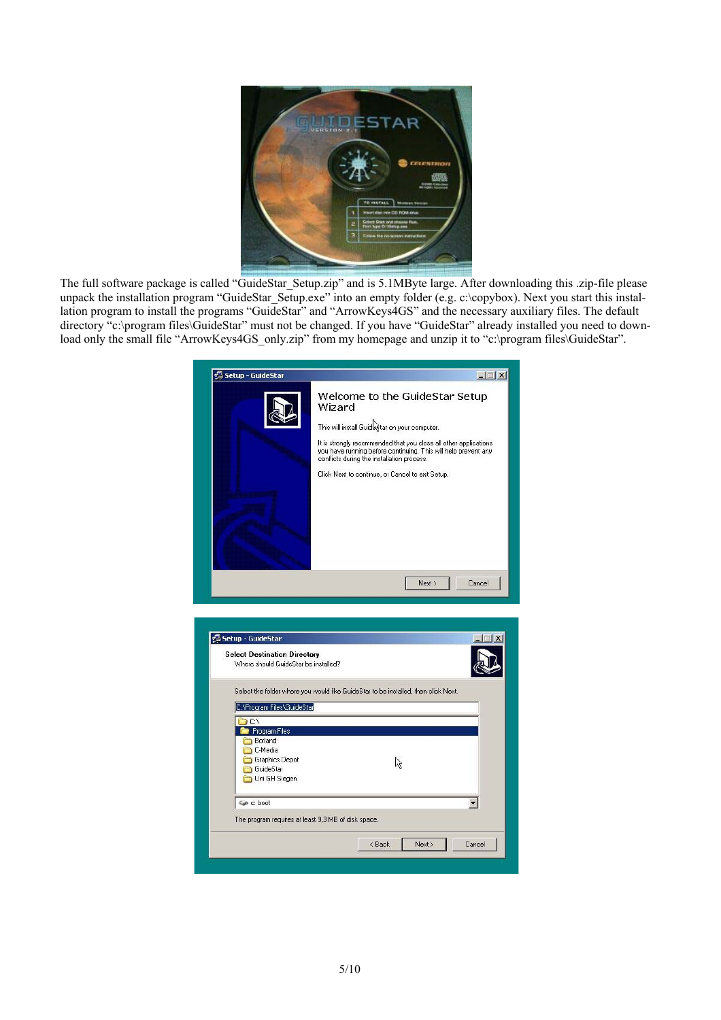

The full software package is called "GuideStar\_Setup.zip" and is 5.1MByte large. After downloading this .zip-file please unpack the installation program "GuideStar\_Setup.exe" into an empty folder (e.g. c:\copybox). Next you start this installation program to install the programs "GuideStar" and "ArrowKeys4GS" and the necessary auxiliary files. The default directory "c:\program files\GuideStar" must not be changed. If you have "GuideStar" already installed you need to download only the small file "ArrowKeys4GS\_only.zip" from my homepage and unzip it to "c:\program files\GuideStar".

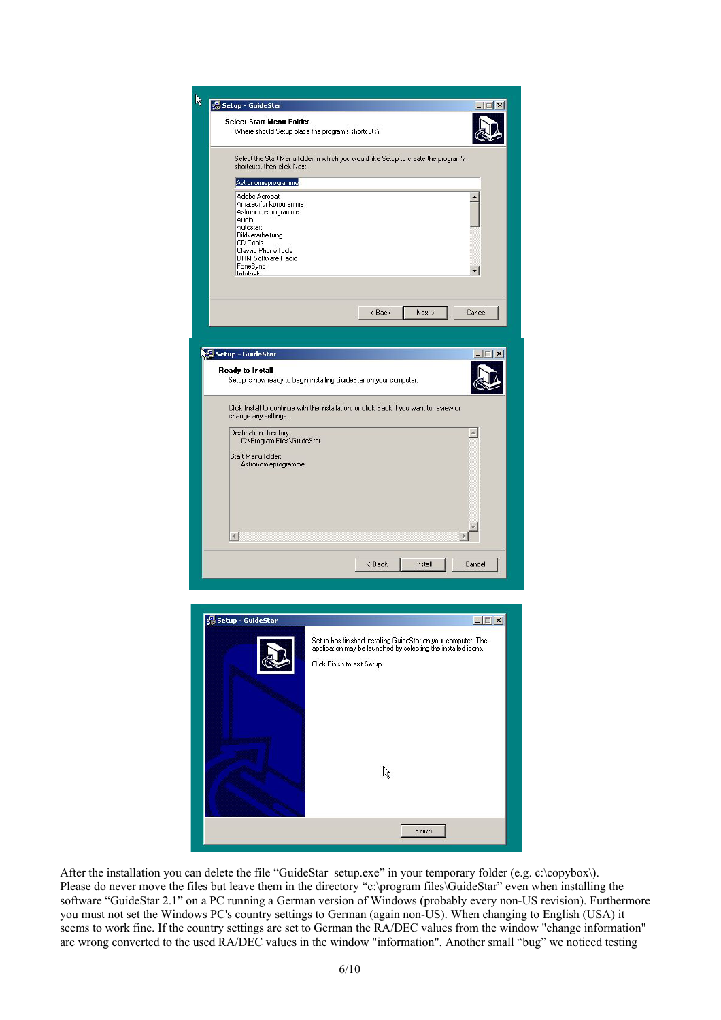| W<br>응 Setup - GuideStar<br>$\Box$                                                                                                                                                                     |
|--------------------------------------------------------------------------------------------------------------------------------------------------------------------------------------------------------|
|                                                                                                                                                                                                        |
| Select Start Menu Folder<br>Where should Setup place the program's shortcuts?                                                                                                                          |
| Select the Start Menu folder in which you would like Setup to create the program's<br>shortcuts, then click Next.                                                                                      |
| Astronomieprogramme                                                                                                                                                                                    |
| Adobe Acrobat<br>Amateurfunkprogramme<br>Astronomieprogramme<br>Audio<br>Autostart<br>Bildverarbeitung<br>CD Tools<br>Classic PhoneTools<br>DRM Software Radio<br>FoneSync<br>▾▏<br>Infothek           |
|                                                                                                                                                                                                        |
| < Back<br>Cancel<br>Next >                                                                                                                                                                             |
|                                                                                                                                                                                                        |
|                                                                                                                                                                                                        |
| Setup - GuideStar                                                                                                                                                                                      |
| Ready to Install<br>Setup is now ready to begin installing GuideStar on your computer.                                                                                                                 |
| Click Install to continue with the installation, or click Back if you want to review or<br>change any settings.                                                                                        |
| Destination directory:<br>A<br>C:\Program Files\GuideStar                                                                                                                                              |
| Start Menu folder:                                                                                                                                                                                     |
| Astronomieprogramme<br>$\left  4 \right $                                                                                                                                                              |
|                                                                                                                                                                                                        |
| Cancel<br>< Back<br>Install                                                                                                                                                                            |
|                                                                                                                                                                                                        |
|                                                                                                                                                                                                        |
|                                                                                                                                                                                                        |
| $ \Box$ $\times$<br>Setup - GuideStar<br>Setup has finished installing GuideStar on your computer. The<br>application may be launched by selecting the installed icons.<br>Click Finish to exit Setup. |
| ピ                                                                                                                                                                                                      |
|                                                                                                                                                                                                        |
| Finish                                                                                                                                                                                                 |
|                                                                                                                                                                                                        |

After the installation you can delete the file "GuideStar\_setup.exe" in your temporary folder (e.g. c:\copybox\). Please do never move the files but leave them in the directory "c:\program files\GuideStar" even when installing the software "GuideStar 2.1" on a PC running a German version of Windows (probably every non-US revision). Furthermore you must not set the Windows PC's country settings to German (again non-US). When changing to English (USA) it seems to work fine. If the country settings are set to German the RA/DEC values from the window "change information" are wrong converted to the used RA/DEC values in the window "information". Another small "bug" we noticed testing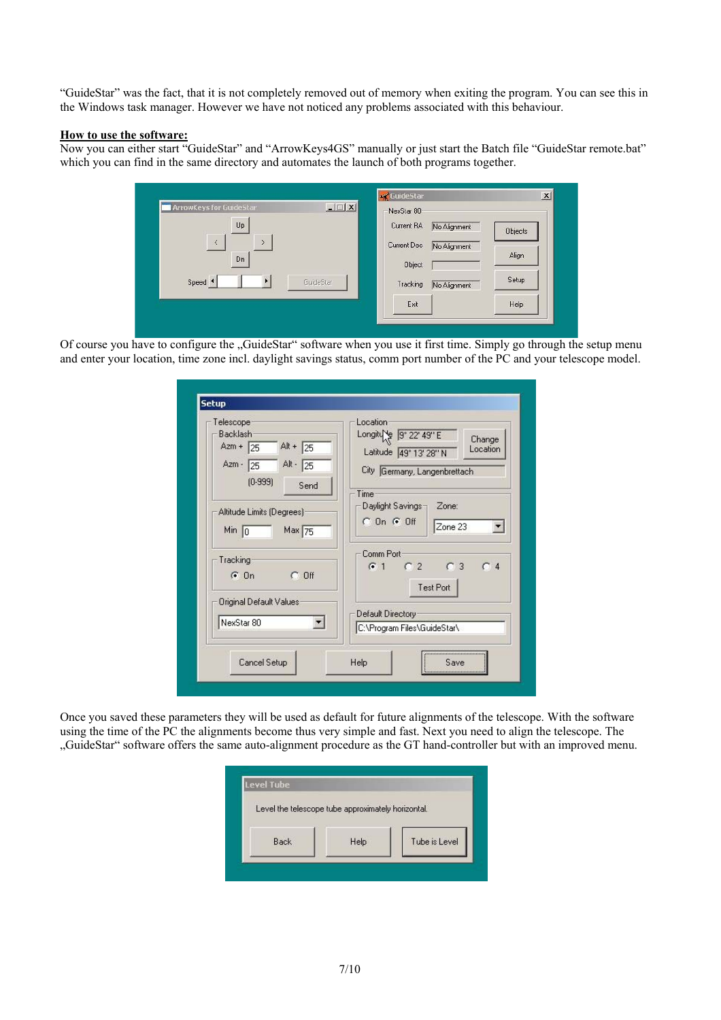"GuideStar" was the fact, that it is not completely removed out of memory when exiting the program. You can see this in the Windows task manager. However we have not noticed any problems associated with this behaviour.

#### **How to use the software:**

Now you can either start "GuideStar" and "ArrowKeys4GS" manually or just start the Batch file "GuideStar remote.bat" which you can find in the same directory and automates the launch of both programs together.

| <b>ArrowKeys for GuideStar</b> | $-1$ $-1$ $\times$ | -NexStar 80- |              |                |
|--------------------------------|--------------------|--------------|--------------|----------------|
| Up                             |                    | Current RA   | No Alignment | <b>Objects</b> |
| $\prec$<br>X                   |                    | Current Dec  | No Alignment |                |
| Dn                             |                    | Object       |              | Align          |
| Speed <sup>4</sup>             | GuideStar          | Tracking     | No Alignment | Setup          |
|                                |                    | Exit         |              | Help           |

Of course you have to configure the "GuideStar" software when you use it first time. Simply go through the setup menu and enter your location, time zone incl. daylight savings status, comm port number of the PC and your telescope model.

| Telescope<br><b>Backlash</b><br>Azm + $\sqrt{25}$<br>Alt + $\sqrt{25}$ | Location<br>Longiture 9° 22' 49" E<br>Change<br>Location<br>Latitude 49° 13' 28" N |
|------------------------------------------------------------------------|------------------------------------------------------------------------------------|
| Alt $-25$<br>Azm $\cdot$ 25<br>(0.999)<br>Send                         | City Germany, Langenbrettach<br>Time                                               |
| Altitude Limits (Degrees)<br>Max 75<br>Min $ 0$                        | Daylight Savings-<br>Zone:<br>$C$ On $G$ Off<br>Zone 23                            |
| Tracking<br>$C$ Off<br>$G$ On                                          | Comm Port<br>$C2$ $C3$<br>C <sub>4</sub><br>G <sub>1</sub><br><b>Test Port</b>     |
| Original Default Values<br>NexStar 80                                  | Default Directory<br>C:\Program Files\GuideStar\                                   |
|                                                                        |                                                                                    |

Once you saved these parameters they will be used as default for future alignments of the telescope. With the software using the time of the PC the alignments become thus very simple and fast. Next you need to align the telescope. The "GuideStar" software offers the same auto-alignment procedure as the GT hand-controller but with an improved menu.

|      | Level the telescope tube approximately horizontal. |               |
|------|----------------------------------------------------|---------------|
|      |                                                    |               |
| Back | Help                                               | Tube is Level |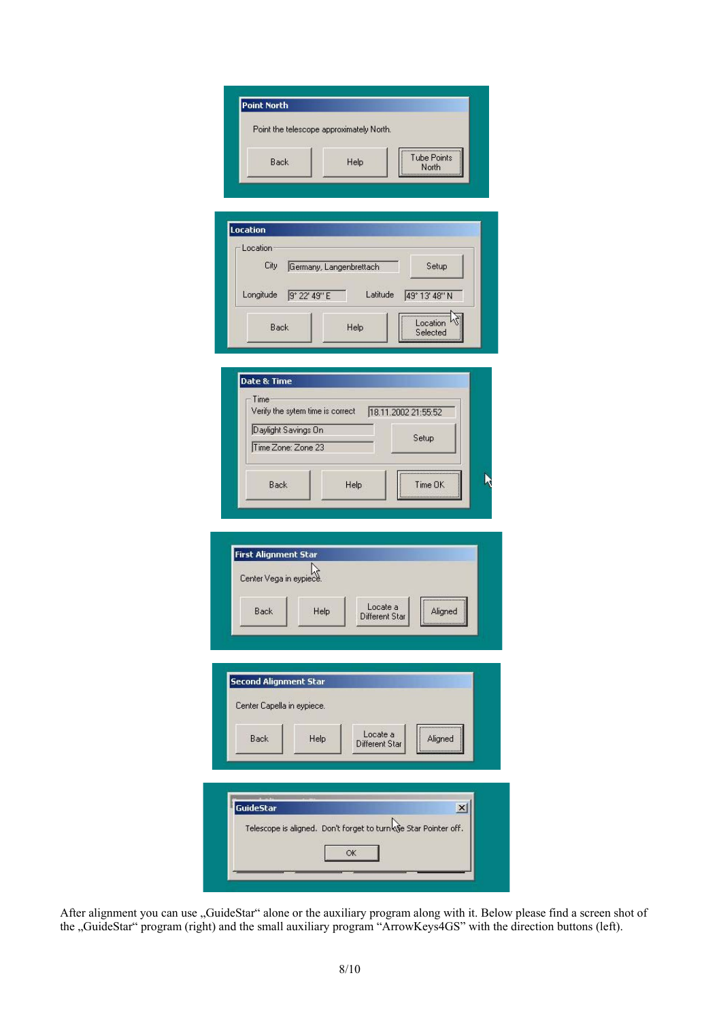| <b>Point North</b> |                                          |                      |
|--------------------|------------------------------------------|----------------------|
|                    | Point the telescope approximately North. |                      |
| Back               | Help                                     | Tube Points<br>North |

| Location  |                         |          |               |
|-----------|-------------------------|----------|---------------|
| City      | Germany, Langenbrettach |          | Setup         |
| Longitude | 9° 22' 49" E            | Latitude | 49° 13' 48" N |
|           |                         |          |               |

| Time                             |      |                     |         |
|----------------------------------|------|---------------------|---------|
| Verify the sytem time is correct |      | 18.11.2002 21:55:52 |         |
| Daylight Savings On              |      |                     |         |
| Time Zone: Zone 23               |      | Setup               |         |
|                                  |      |                     |         |
| Back                             | Help |                     | Time OK |



| <b>GuideStar</b> |                                                                 |  |
|------------------|-----------------------------------------------------------------|--|
|                  | Telescope is aligned. Don't forget to turn of Star Pointer off. |  |
|                  |                                                                 |  |

After alignment you can use "GuideStar" alone or the auxiliary program along with it. Below please find a screen shot of the "GuideStar" program (right) and the small auxiliary program "ArrowKeys4GS" with the direction buttons (left).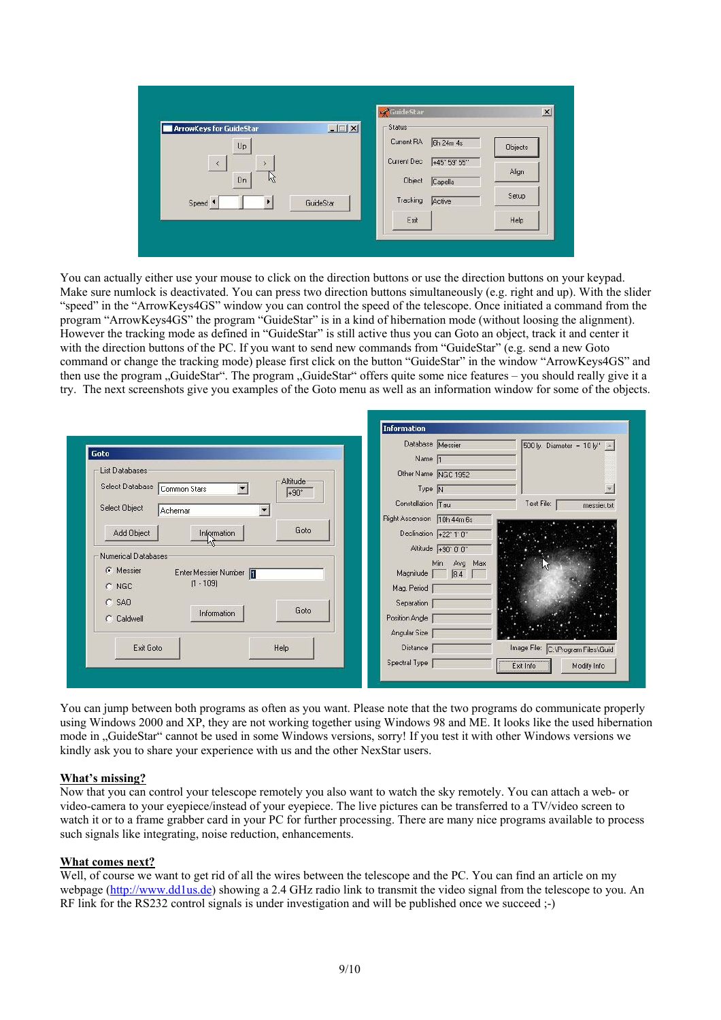| <b>ArrowKeys for GuideStar</b> | $-12x$    | GuideStar<br>Status- |                  |         |
|--------------------------------|-----------|----------------------|------------------|---------|
| $U_{\mathsf{P}}$               |           | Current RA           | <b>6h 24m 4s</b> | Objects |
| $\hat{<}$<br>$\mathbf{y}$      |           | Current Dec          | +45° 59' 55"     | Align   |
| Dn<br>M                        |           | Object               | Capella          |         |
| Speed 1                        | GuideStar | Tracking             | Active           | Setup   |
|                                |           | Exit                 |                  | Help    |

You can actually either use your mouse to click on the direction buttons or use the direction buttons on your keypad. Make sure numlock is deactivated. You can press two direction buttons simultaneously (e.g. right and up). With the slider "speed" in the "ArrowKeys4GS" window you can control the speed of the telescope. Once initiated a command from the program "ArrowKeys4GS" the program "GuideStar" is in a kind of hibernation mode (without loosing the alignment). However the tracking mode as defined in "GuideStar" is still active thus you can Goto an object, track it and center it with the direction buttons of the PC. If you want to send new commands from "GuideStar" (e.g. send a new Goto command or change the tracking mode) please first click on the button "GuideStar" in the window "ArrowKeys4GS" and then use the program "GuideStar". The program "GuideStar" offers quite some nice features – you should really give it a try. The next screenshots give you examples of the Goto menu as well as an information window for some of the objects.

| Goto                                          | Database Messier<br>Name <sub>[1</sub> | 500 ly. Diameter = $10 \,  y''  -  $ |
|-----------------------------------------------|----------------------------------------|--------------------------------------|
| List Databases-<br>Altitude-                  | Other Name NGC 1952                    |                                      |
| Select Database Common Stars<br>$+90^{\circ}$ | Type $\overline{N}$                    | $\overline{\mathcal{P}}$             |
| Select Object<br>Achemar                      | Constellation Tau                      | Text File:<br>messier.txt            |
|                                               | Right Ascension 10h 44m 6s             |                                      |
| Goto<br>Add Object<br>Information             | Declination +22° 1'0"                  |                                      |
| Numerical Databases                           | Altitude +90° 0' 0"                    |                                      |
| G Messier<br>Enter Messier Number             | Min Avg Max<br>Magnitude               |                                      |
| $[1 - 109]$<br>$C$ NGC                        | 8.4<br>Mag. Period                     |                                      |
| $C$ SAO                                       | Separation                             |                                      |
| Goto<br>Information<br>C Caldwell             | Position Angle                         |                                      |
|                                               | Angular Size                           |                                      |
| Exit Goto<br>Help                             | Distance                               | Image File: C:\Program Files\Guid    |
|                                               | Spectral Type                          | Modify Info<br>Exit Info             |

You can jump between both programs as often as you want. Please note that the two programs do communicate properly using Windows 2000 and XP, they are not working together using Windows 98 and ME. It looks like the used hibernation mode in "GuideStar" cannot be used in some Windows versions, sorry! If you test it with other Windows versions we kindly ask you to share your experience with us and the other NexStar users.

#### **What's missing?**

Now that you can control your telescope remotely you also want to watch the sky remotely. You can attach a web- or video-camera to your eyepiece/instead of your eyepiece. The live pictures can be transferred to a TV/video screen to watch it or to a frame grabber card in your PC for further processing. There are many nice programs available to process such signals like integrating, noise reduction, enhancements.

#### **What comes next?**

Well, of course we want to get rid of all the wires between the telescope and the PC. You can find an article on my webpage (http://www.dd1us.de) showing a 2.4 GHz radio link to transmit the video signal from the telescope to you. An RF link for the RS232 control signals is under investigation and will be published once we succeed ;-)